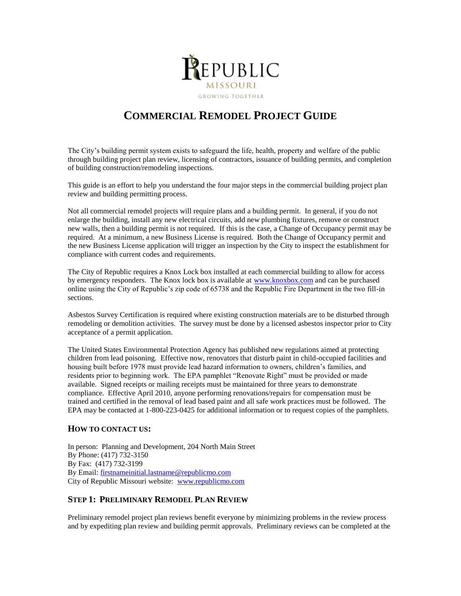

# **COMMERCIAL REMODEL PROJECT GUIDE**

The City's building permit system exists to safeguard the life, health, property and welfare of the public through building project plan review, licensing of contractors, issuance of building permits, and completion of building construction/remodeling inspections.

This guide is an effort to help you understand the four major steps in the commercial building project plan review and building permitting process.

Not all commercial remodel projects will require plans and a building permit. In general, if you do not enlarge the building, install any new electrical circuits, add new plumbing fixtures, remove or construct new walls, then a building permit is not required. If this is the case, a Change of Occupancy permit may be required. At a minimum, a new Business License is required. Both the Change of Occupancy permit and the new Business License application will trigger an inspection by the City to inspect the establishment for compliance with current codes and requirements.

The City of Republic requires a Knox Lock box installed at each commercial building to allow for access by emergency responders. The Knox lock box is available at [www.knoxbox.com](http://www.knoxbox.com/) and can be purchased online using the City of Republic's zip code of 65738 and the Republic Fire Department in the two fill-in sections.

Asbestos Survey Certification is required where existing construction materials are to be disturbed through remodeling or demolition activities. The survey must be done by a licensed asbestos inspector prior to City acceptance of a permit application.

The United States Environmental Protection Agency has published new regulations aimed at protecting children from lead poisoning. Effective now, renovators that disturb paint in child-occupied facilities and housing built before 1978 must provide lead hazard information to owners, children's families, and residents prior to beginning work. The EPA pamphlet "Renovate Right" must be provided or made available. Signed receipts or mailing receipts must be maintained for three years to demonstrate compliance. Effective April 2010, anyone performing renovations/repairs for compensation must be trained and certified in the removal of lead based paint and all safe work practices must be followed. The EPA may be contacted at 1-800-223-0425 for additional information or to request copies of the pamphlets.

# **HOW TO CONTACT US:**

In person: Planning and Development, 204 North Main Street By Phone: (417) 732-3150 By Fax: (417) 732-3199 By Email: [firstnameinitial.lastname@republicmo.com](mailto:firstnameinitial.lastname@republicmo.com) City of Republic Missouri website: [www.republicmo.com](http://www.republicmo.com/)

# **STEP 1: PRELIMINARY REMODEL PLAN REVIEW**

Preliminary remodel project plan reviews benefit everyone by minimizing problems in the review process and by expediting plan review and building permit approvals. Preliminary reviews can be completed at the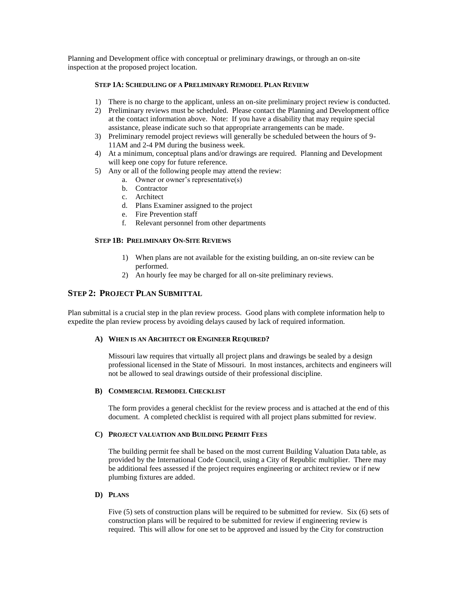Planning and Development office with conceptual or preliminary drawings, or through an on-site inspection at the proposed project location.

# **STEP 1A: SCHEDULING OF A PRELIMINARY REMODEL PLAN REVIEW**

- 1) There is no charge to the applicant, unless an on-site preliminary project review is conducted.
- 2) Preliminary reviews must be scheduled. Please contact the Planning and Development office at the contact information above. Note: If you have a disability that may require special assistance, please indicate such so that appropriate arrangements can be made.
- 3) Preliminary remodel project reviews will generally be scheduled between the hours of 9- 11AM and 2-4 PM during the business week.
- 4) At a minimum, conceptual plans and/or drawings are required. Planning and Development will keep one copy for future reference.
- 5) Any or all of the following people may attend the review:
	- a. Owner or owner's representative(s)
	- b. Contractor
	- c. Architect
	- d. Plans Examiner assigned to the project
	- e. Fire Prevention staff
	- f. Relevant personnel from other departments

## **STEP 1B: PRELIMINARY ON-SITE REVIEWS**

- 1) When plans are not available for the existing building, an on-site review can be performed.
- 2) An hourly fee may be charged for all on-site preliminary reviews.

# **STEP 2: PROJECT PLAN SUBMITTAL**

Plan submittal is a crucial step in the plan review process. Good plans with complete information help to expedite the plan review process by avoiding delays caused by lack of required information.

#### **A) WHEN IS AN ARCHITECT OR ENGINEER REQUIRED?**

Missouri law requires that virtually all project plans and drawings be sealed by a design professional licensed in the State of Missouri. In most instances, architects and engineers will not be allowed to seal drawings outside of their professional discipline.

## **B) COMMERCIAL REMODEL CHECKLIST**

The form provides a general checklist for the review process and is attached at the end of this document. A completed checklist is required with all project plans submitted for review.

#### **C) PROJECT VALUATION AND BUILDING PERMIT FEES**

The building permit fee shall be based on the most current Building Valuation Data table, as provided by the International Code Council, using a City of Republic multiplier. There may be additional fees assessed if the project requires engineering or architect review or if new plumbing fixtures are added.

#### **D) PLANS**

Five (5) sets of construction plans will be required to be submitted for review. Six (6) sets of construction plans will be required to be submitted for review if engineering review is required. This will allow for one set to be approved and issued by the City for construction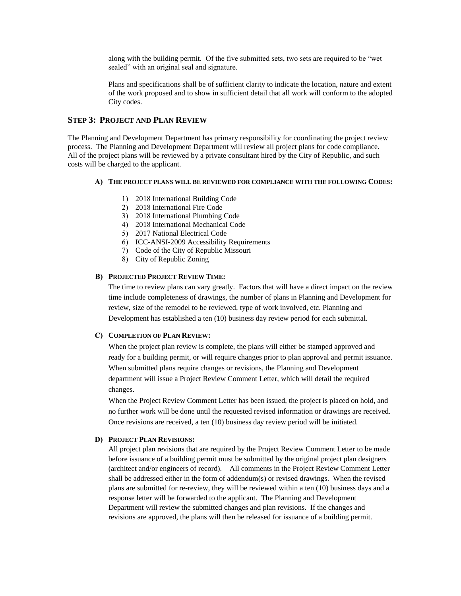along with the building permit. Of the five submitted sets, two sets are required to be "wet sealed" with an original seal and signature.

Plans and specifications shall be of sufficient clarity to indicate the location, nature and extent of the work proposed and to show in sufficient detail that all work will conform to the adopted City codes.

# **STEP 3: PROJECT AND PLAN REVIEW**

The Planning and Development Department has primary responsibility for coordinating the project review process. The Planning and Development Department will review all project plans for code compliance. All of the project plans will be reviewed by a private consultant hired by the City of Republic, and such costs will be charged to the applicant.

## **A) THE PROJECT PLANS WILL BE REVIEWED FOR COMPLIANCE WITH THE FOLLOWING CODES:**

- 1) 2018 International Building Code
- 2) 2018 International Fire Code
- 3) 2018 International Plumbing Code
- 4) 2018 International Mechanical Code
- 5) 2017 National Electrical Code
- 6) ICC-ANSI-2009 Accessibility Requirements
- 7) Code of the City of Republic Missouri
- 8) City of Republic Zoning

#### **B) PROJECTED PROJECT REVIEW TIME:**

The time to review plans can vary greatly. Factors that will have a direct impact on the review time include completeness of drawings, the number of plans in Planning and Development for review, size of the remodel to be reviewed, type of work involved, etc. Planning and Development has established a ten (10) business day review period for each submittal.

#### **C) COMPLETION OF PLAN REVIEW:**

When the project plan review is complete, the plans will either be stamped approved and ready for a building permit, or will require changes prior to plan approval and permit issuance. When submitted plans require changes or revisions, the Planning and Development department will issue a Project Review Comment Letter, which will detail the required changes.

When the Project Review Comment Letter has been issued, the project is placed on hold, and no further work will be done until the requested revised information or drawings are received. Once revisions are received, a ten (10) business day review period will be initiated.

#### **D) PROJECT PLAN REVISIONS:**

All project plan revisions that are required by the Project Review Comment Letter to be made before issuance of a building permit must be submitted by the original project plan designers (architect and/or engineers of record). All comments in the Project Review Comment Letter shall be addressed either in the form of addendum(s) or revised drawings. When the revised plans are submitted for re-review, they will be reviewed within a ten (10) business days and a response letter will be forwarded to the applicant. The Planning and Development Department will review the submitted changes and plan revisions. If the changes and revisions are approved, the plans will then be released for issuance of a building permit.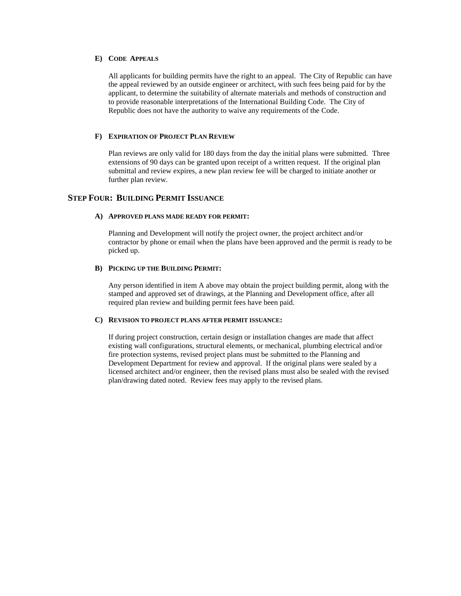## **E) CODE APPEALS**

All applicants for building permits have the right to an appeal. The City of Republic can have the appeal reviewed by an outside engineer or architect, with such fees being paid for by the applicant, to determine the suitability of alternate materials and methods of construction and to provide reasonable interpretations of the International Building Code. The City of Republic does not have the authority to waive any requirements of the Code.

## **F) EXPIRATION OF PROJECT PLAN REVIEW**

Plan reviews are only valid for 180 days from the day the initial plans were submitted. Three extensions of 90 days can be granted upon receipt of a written request. If the original plan submittal and review expires, a new plan review fee will be charged to initiate another or further plan review.

# **STEP FOUR: BUILDING PERMIT ISSUANCE**

## **A) APPROVED PLANS MADE READY FOR PERMIT:**

Planning and Development will notify the project owner, the project architect and/or contractor by phone or email when the plans have been approved and the permit is ready to be picked up.

#### **B) PICKING UP THE BUILDING PERMIT:**

Any person identified in item A above may obtain the project building permit, along with the stamped and approved set of drawings, at the Planning and Development office, after all required plan review and building permit fees have been paid.

#### **C) REVISION TO PROJECT PLANS AFTER PERMIT ISSUANCE:**

If during project construction, certain design or installation changes are made that affect existing wall configurations, structural elements, or mechanical, plumbing electrical and/or fire protection systems, revised project plans must be submitted to the Planning and Development Department for review and approval. If the original plans were sealed by a licensed architect and/or engineer, then the revised plans must also be sealed with the revised plan/drawing dated noted. Review fees may apply to the revised plans.